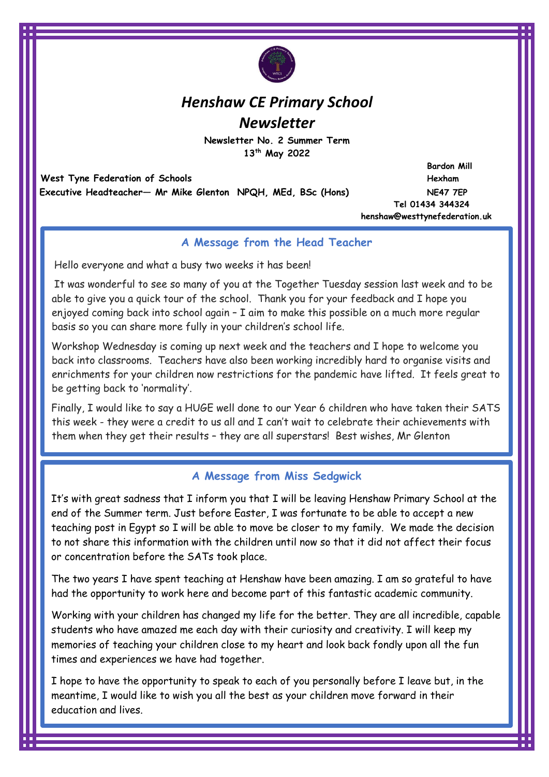

# *Henshaw CE Primary School Newsletter*

**Newsletter No. 2 Summer Term 13 th May 2022** 

 **West Tyne Federation of Schools Hexham Executive Headteacher— Mr Mike Glenton NPQH, MEd, BSc (Hons) NE47 7EP** 

 **Bardon Mill Tel 01434 344324 henshaw@westtynefederation.uk**

# **A Message from the Head Teacher**

Hello everyone and what a busy two weeks it has been!

It was wonderful to see so many of you at the Together Tuesday session last week and to be able to give you a quick tour of the school. Thank you for your feedback and I hope you enjoyed coming back into school again – I aim to make this possible on a much more regular basis so you can share more fully in your children's school life.

Workshop Wednesday is coming up next week and the teachers and I hope to welcome you back into classrooms. Teachers have also been working incredibly hard to organise visits and enrichments for your children now restrictions for the pandemic have lifted. It feels great to be getting back to 'normality'.

Finally, I would like to say a HUGE well done to our Year 6 children who have taken their SATS this week - they were a credit to us all and I can't wait to celebrate their achievements with them when they get their results – they are all superstars! Best wishes, Mr Glenton

# **A Message from Miss Sedgwick**

It's with great sadness that I inform you that I will be leaving Henshaw Primary School at the end of the Summer term. Just before Easter, I was fortunate to be able to accept a new teaching post in Egypt so I will be able to move be closer to my family. We made the decision to not share this information with the children until now so that it did not affect their focus or concentration before the SATs took place.

The two years I have spent teaching at Henshaw have been amazing. I am so grateful to have had the opportunity to work here and become part of this fantastic academic community.

Working with your children has changed my life for the better. They are all incredible, capable students who have amazed me each day with their curiosity and creativity. I will keep my memories of teaching your children close to my heart and look back fondly upon all the fun times and experiences we have had together.

I hope to have the opportunity to speak to each of you personally before I leave but, in the meantime, I would like to wish you all the best as your children move forward in their education and lives.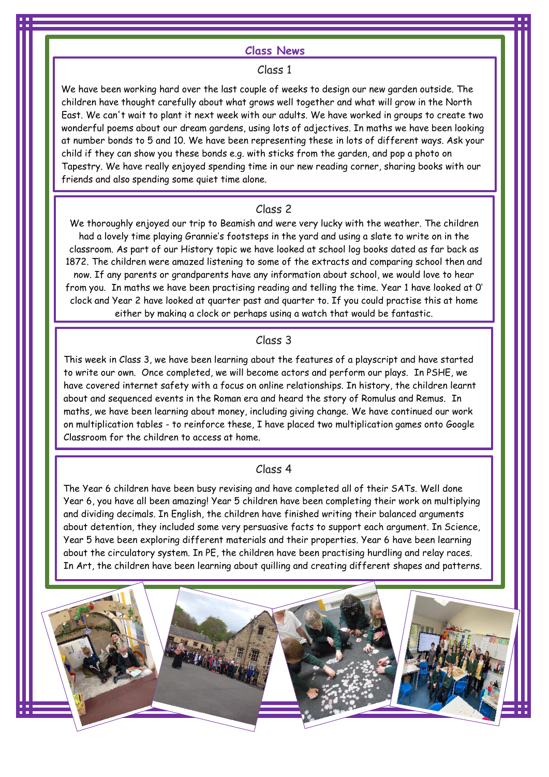#### **Class News**

#### Class 1

We have been working hard over the last couple of weeks to design our new garden outside. The children have thought carefully about what grows well together and what will grow in the North East. We can't wait to plant it next week with our adults. We have worked in groups to create two wonderful poems about our dream gardens, using lots of adjectives. In maths we have been looking at number bonds to 5 and 10. We have been representing these in lots of different ways. Ask your child if they can show you these bonds e.g. with sticks from the garden, and pop a photo on Tapestry. We have really enjoyed spending time in our new reading corner, sharing books with our friends and also spending some quiet time alone.

### Class 2

We thoroughly enjoyed our trip to Beamish and were very lucky with the weather. The children had a lovely time playing Grannie's footsteps in the yard and using a slate to write on in the classroom. As part of our History topic we have looked at school log books dated as far back as 1872. The children were amazed listening to some of the extracts and comparing school then and now. If any parents or grandparents have any information about school, we would love to hear from you. In maths we have been practising reading and telling the time. Year 1 have looked at 0' clock and Year 2 have looked at quarter past and quarter to. If you could practise this at home either by making a clock or perhaps using a watch that would be fantastic.

# Class 3

This week in Class 3, we have been learning about the features of a playscript and have started to write our own. Once completed, we will become actors and perform our plays. In PSHE, we have covered internet safety with a focus on online relationships. In history, the children learnt about and sequenced events in the Roman era and heard the story of Romulus and Remus. In maths, we have been learning about money, including giving change. We have continued our work on multiplication tables - to reinforce these, I have placed two multiplication games onto Google Classroom for the children to access at home.

#### Class 4

The Year 6 children have been busy revising and have completed all of their SATs. Well done Year 6, you have all been amazing! Year 5 children have been completing their work on multiplying and dividing decimals. In English, the children have finished writing their balanced arguments about detention, they included some very persuasive facts to support each argument. In Science, Year 5 have been exploring different materials and their properties. Year 6 have been learning about the circulatory system. In PE, the children have been practising hurdling and relay races. In Art, the children have been learning about quilling and creating different shapes and patterns.

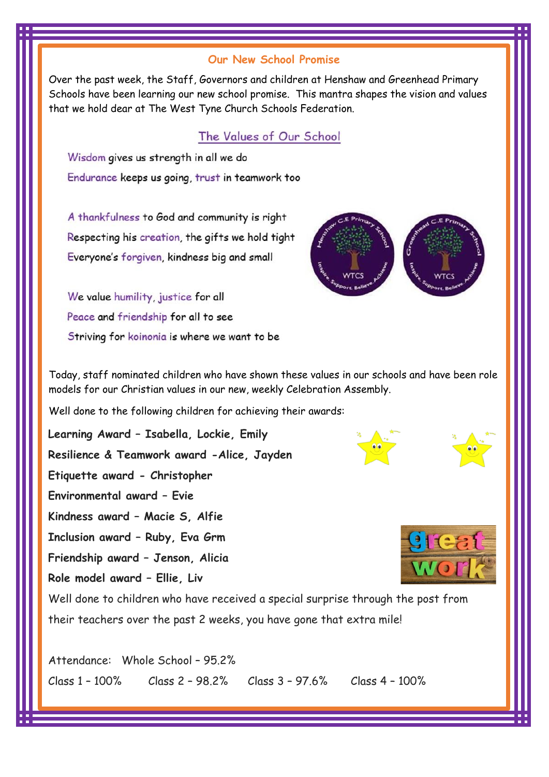# **Our New School Promise**

Over the past week, the Staff, Governors and children at Henshaw and Greenhead Primary Schools have been learning our new school promise. This mantra shapes the vision and values that we hold dear at The West Tyne Church Schools Federation.

# The Values of Our School

Wisdom gives us strength in all we do Endurance keeps us going, trust in teamwork too

A thankfulness to God and community is right Respecting his creation, the gifts we hold tight Everyone's forgiven, kindness big and small

We value humility, justice for all Peace and friendship for all to see Striving for koinonia is where we want to be



Today, staff nominated children who have shown these values in our schools and have been role models for our Christian values in our new, weekly Celebration Assembly.

Well done to the following children for achieving their awards:

**Learning Award – Isabella, Lockie, Emily Resilience & Teamwork award -Alice, Jayden Etiquette award - Christopher Environmental award – Evie Kindness award – Macie S, Alfie Inclusion award – Ruby, Eva Grm Friendship award – Jenson, Alicia Role model award – Ellie, Liv**



Well done to children who have received a special surprise through the post from their teachers over the past 2 weeks, you have gone that extra mile!

Attendance: Whole School – 95.2% Class 1 – 100% Class 2 – 98.2% Class 3 – 97.6% Class 4 – 100%